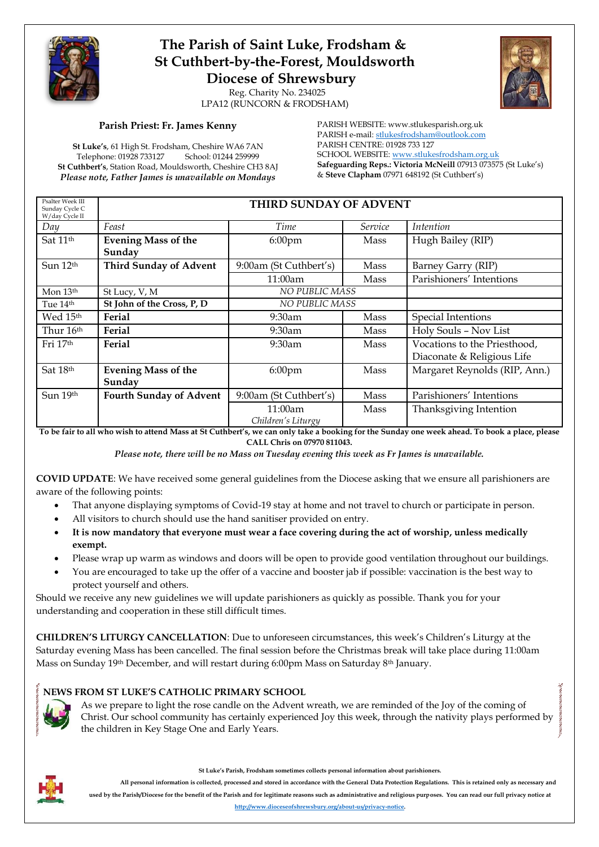

## **The Parish of Saint Luke, Frodsham & St Cuthbert-by-the-Forest, Mouldsworth Diocese of Shrewsbury**

 Reg. Charity No. 234025 LPA12 (RUNCORN & FRODSHAM)

## **Parish Priest: Fr. James Kenny**

**St Luke's**, 61 High St. Frodsham, Cheshire WA6 7AN Telephone: 01928 733127 **St Cuthbert's**, Station Road, Mouldsworth, Cheshire CH3 8AJ *Please note, Father James is unavailable on Mondays*

PARISH WEBSITE: www.stlukesparish.org.uk PARISH e-mail[: stlukesfrodsham@outlook.com](mailto:stlukesfrodsham@outlook.com) PARISH CENTRE: 01928 733 127 SCHOOL WEBSITE: [www.stlukesfrodsham.org.uk](http://www.stlukesfrodsham.org.uk/) **Safeguarding Reps.: Victoria McNeill** 07913 073575 (St Luke's) & **Steve Clapham** 07971 648192 (St Cuthbert's)

| Psalter Week III<br>Sunday Cycle C<br>W/day Cycle II | THIRD SUNDAY OF ADVENT               |                               |                |                                                            |  |
|------------------------------------------------------|--------------------------------------|-------------------------------|----------------|------------------------------------------------------------|--|
| Day                                                  | Feast                                | Time                          | <i>Service</i> | Intention                                                  |  |
| Sat 11 <sup>th</sup>                                 | <b>Evening Mass of the</b><br>Sunday | 6:00pm                        | Mass           | Hugh Bailey (RIP)                                          |  |
| Sun 12 <sup>th</sup>                                 | <b>Third Sunday of Advent</b>        | 9:00am (St Cuthbert's)        | Mass           | Barney Garry (RIP)                                         |  |
|                                                      |                                      | 11:00am                       | Mass           | Parishioners' Intentions                                   |  |
| Mon 13th                                             | St Lucy, V, M                        | NO PUBLIC MASS                |                |                                                            |  |
| Tue 14 <sup>th</sup>                                 | St John of the Cross, P, D           | <b>NO PUBLIC MASS</b>         |                |                                                            |  |
| Wed 15th                                             | Ferial                               | $9:30$ am                     | Mass           | Special Intentions                                         |  |
| Thur 16th                                            | Ferial                               | 9:30am                        | Mass           | Holy Souls - Nov List                                      |  |
| Fri 17 <sup>th</sup>                                 | Ferial                               | $9:30$ am                     | Mass           | Vocations to the Priesthood,<br>Diaconate & Religious Life |  |
| Sat 18th                                             | <b>Evening Mass of the</b><br>Sunday | $6:00$ pm                     | Mass           | Margaret Reynolds (RIP, Ann.)                              |  |
| Sun 19th                                             | <b>Fourth Sunday of Advent</b>       | 9:00am (St Cuthbert's)        | Mass           | Parishioners' Intentions                                   |  |
|                                                      |                                      | 11:00am<br>Children's Liturgy | Mass           | Thanksgiving Intention                                     |  |

**To be fair to all who wish to attend Mass at St Cuthbert's, we can only take a booking for the Sunday one week ahead. To book a place, please CALL Chris on 07970 811043.**

*Please note, there will be no Mass on Tuesday evening this week as Fr James is unavailable.*

**COVID UPDATE**: We have received some general guidelines from the Diocese asking that we ensure all parishioners are aware of the following points:

- That anyone displaying symptoms of Covid-19 stay at home and not travel to church or participate in person.
- All visitors to church should use the hand sanitiser provided on entry.
- **It is now mandatory that everyone must wear a face covering during the act of worship, unless medically exempt.**
- Please wrap up warm as windows and doors will be open to provide good ventilation throughout our buildings.
- You are encouraged to take up the offer of a vaccine and booster jab if possible: vaccination is the best way to protect yourself and others.

Should we receive any new guidelines we will update parishioners as quickly as possible. Thank you for your understanding and cooperation in these still difficult times.

**CHILDREN'S LITURGY CANCELLATION**: Due to unforeseen circumstances, this week's Children's Liturgy at the Saturday evening Mass has been cancelled. The final session before the Christmas break will take place during 11:00am Mass on Sunday 19<sup>th</sup> December, and will restart during 6:00pm Mass on Saturday 8<sup>th</sup> January.

## **NEWS FROM ST LUKE'S CATHOLIC PRIMARY SCHOOL**



As we prepare to light the rose candle on the Advent wreath, we are reminded of the Joy of the coming of Christ. Our school community has certainly experienced Joy this week, through the nativity plays performed by the children in Key Stage One and Early Years.

**St Luke's Parish, Frodsham sometimes collects personal information about parishioners.** 

**All personal information is collected, processed and stored in accordance with the General Data Protection Regulations. This is retained only as necessary and used by the Parish/Diocese for the benefit of the Parish and for legitimate reasons such as administrative and religious purposes. You can read our full privacy notice at [http://www.dioceseofshrewsbury.org/about-us/privacy-notice.](http://www.dioceseofshrewsbury.org/about-us/privacy-notice)**